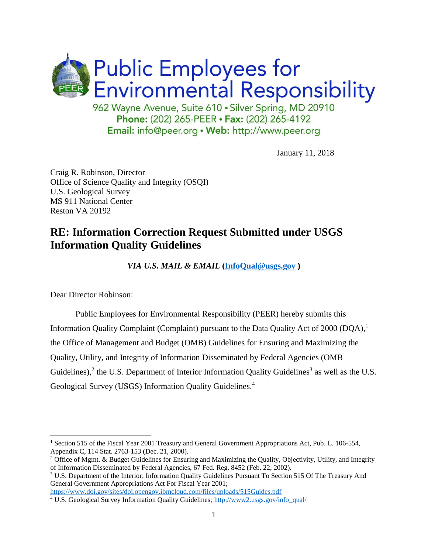

January 11, 2018

Craig R. Robinson, Director Office of Science Quality and Integrity (OSQI) U.S. Geological Survey MS 911 National Center Reston VA 20192

## **RE: Information Correction Request Submitted under USGS Information Quality Guidelines**

*VIA U.S. MAIL & EMAIL* **[\(InfoQual@usgs.gov](mailto:InfoQual@usgs.gov) )**

Dear Director Robinson:

 $\overline{a}$ 

Public Employees for Environmental Responsibility (PEER) hereby submits this Information Quality Complaint (Complaint) pursuant to the Data Quality Act of 2000 (DQA),<sup>1</sup> the Office of Management and Budget (OMB) Guidelines for Ensuring and Maximizing the Quality, Utility, and Integrity of Information Disseminated by Federal Agencies (OMB Guidelines),<sup>2</sup> the U.S. Department of Interior Information Quality Guidelines<sup>3</sup> as well as the U.S. Geological Survey (USGS) Information Quality Guidelines.<sup>4</sup>

<https://www.doi.gov/sites/doi.opengov.ibmcloud.com/files/uploads/515Guides.pdf>

<sup>&</sup>lt;sup>1</sup> Section 515 of the Fiscal Year 2001 Treasury and General Government Appropriations Act, Pub. L. 106-554, Appendix C, 114 Stat. 2763-153 (Dec. 21, 2000).

<sup>&</sup>lt;sup>2</sup> Office of Mgmt. & Budget Guidelines for Ensuring and Maximizing the Quality, Objectivity, Utility, and Integrity of Information Disseminated by Federal Agencies, 67 Fed. Reg. 8452 (Feb. 22, 2002).

<sup>3</sup> U.S. Department of the Interior; Information Quality Guidelines Pursuant To Section 515 Of The Treasury And General Government Appropriations Act For Fiscal Year 2001;

<sup>4</sup> U.S. Geological Survey Information Quality Guidelines; [http://www2.usgs.gov/info\\_qual/](http://www2.usgs.gov/info_qual/)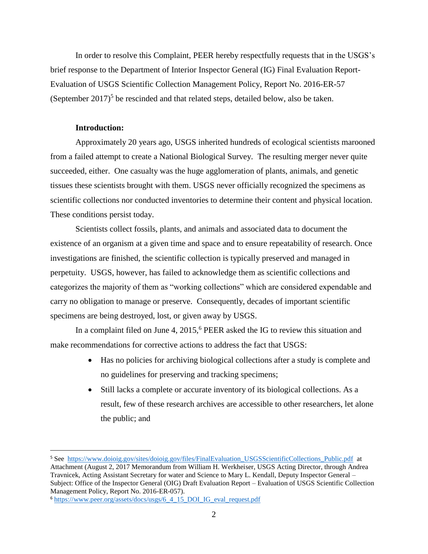In order to resolve this Complaint, PEER hereby respectfully requests that in the USGS's brief response to the Department of Interior Inspector General (IG) Final Evaluation Report-Evaluation of USGS Scientific Collection Management Policy, Report No. 2016-ER-57 (September 2017)<sup>5</sup> be rescinded and that related steps, detailed below, also be taken.

#### **Introduction:**

 $\overline{a}$ 

Approximately 20 years ago, USGS inherited hundreds of ecological scientists marooned from a failed attempt to create a National Biological Survey. The resulting merger never quite succeeded, either. One casualty was the huge agglomeration of plants, animals, and genetic tissues these scientists brought with them. USGS never officially recognized the specimens as scientific collections nor conducted inventories to determine their content and physical location. These conditions persist today.

Scientists collect fossils, plants, and animals and associated data to document the existence of an organism at a given time and space and to ensure repeatability of research. Once investigations are finished, the scientific collection is typically preserved and managed in perpetuity. USGS, however, has failed to acknowledge them as scientific collections and categorizes the majority of them as "working collections" which are considered expendable and carry no obligation to manage or preserve. Consequently, decades of important scientific specimens are being destroyed, lost, or given away by USGS.

In a complaint filed on June 4,  $2015<sup>6</sup>$  PEER asked the IG to review this situation and make recommendations for corrective actions to address the fact that USGS:

- Has no policies for archiving biological collections after a study is complete and no guidelines for preserving and tracking specimens;
- Still lacks a complete or accurate inventory of its biological collections. As a result, few of these research archives are accessible to other researchers, let alone the public; and

<sup>&</sup>lt;sup>5</sup> See [https://www.doioig.gov/sites/doioig.gov/files/FinalEvaluation\\_USGSScientificCollections\\_Public.pdf](https://www.doioig.gov/sites/doioig.gov/files/FinalEvaluation_USGSScientificCollections_Public.pdf) at Attachment (August 2, 2017 Memorandum from William H. Werkheiser, USGS Acting Director, through Andrea Travnicek, Acting Assistant Secretary for water and Science to Mary L. Kendall, Deputy Inspector General – Subject: Office of the Inspector General (OIG) Draft Evaluation Report – Evaluation of USGS Scientific Collection Management Policy, Report No. 2016-ER-057).

<sup>6</sup> [https://www.peer.org/assets/docs/usgs/6\\_4\\_15\\_DOI\\_IG\\_eval\\_request.pdf](https://www.peer.org/assets/docs/usgs/6_4_15_DOI_IG_eval_request.pdf)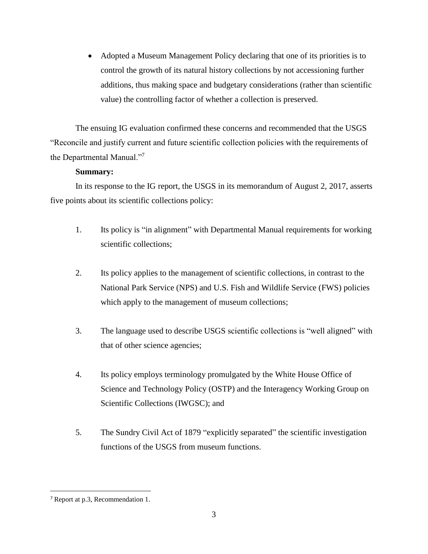Adopted a Museum Management Policy declaring that one of its priorities is to control the growth of its natural history collections by not accessioning further additions, thus making space and budgetary considerations (rather than scientific value) the controlling factor of whether a collection is preserved.

The ensuing IG evaluation confirmed these concerns and recommended that the USGS "Reconcile and justify current and future scientific collection policies with the requirements of the Departmental Manual."<sup>7</sup>

### **Summary:**

In its response to the IG report, the USGS in its memorandum of August 2, 2017, asserts five points about its scientific collections policy:

- 1. Its policy is "in alignment" with Departmental Manual requirements for working scientific collections;
- 2. Its policy applies to the management of scientific collections, in contrast to the National Park Service (NPS) and U.S. Fish and Wildlife Service (FWS) policies which apply to the management of museum collections;
- 3. The language used to describe USGS scientific collections is "well aligned" with that of other science agencies;
- 4. Its policy employs terminology promulgated by the White House Office of Science and Technology Policy (OSTP) and the Interagency Working Group on Scientific Collections (IWGSC); and
- 5. The Sundry Civil Act of 1879 "explicitly separated" the scientific investigation functions of the USGS from museum functions.

<sup>7</sup> Report at p.3, Recommendation 1.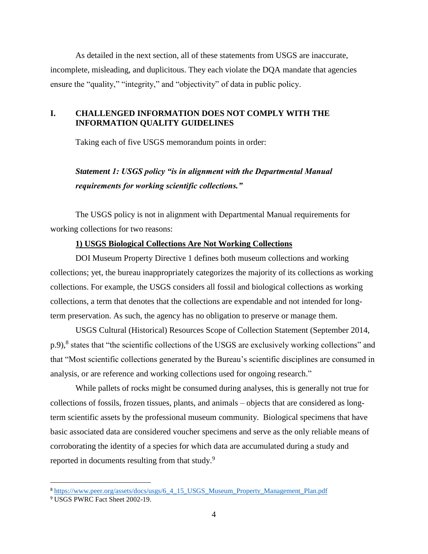As detailed in the next section, all of these statements from USGS are inaccurate, incomplete, misleading, and duplicitous. They each violate the DQA mandate that agencies ensure the "quality," "integrity," and "objectivity" of data in public policy.

### **I. CHALLENGED INFORMATION DOES NOT COMPLY WITH THE INFORMATION QUALITY GUIDELINES**

Taking each of five USGS memorandum points in order:

## *Statement 1: USGS policy "is in alignment with the Departmental Manual requirements for working scientific collections."*

The USGS policy is not in alignment with Departmental Manual requirements for working collections for two reasons:

#### **1) USGS Biological Collections Are Not Working Collections**

DOI Museum Property Directive 1 defines both museum collections and working collections; yet, the bureau inappropriately categorizes the majority of its collections as working collections. For example, the USGS considers all fossil and biological collections as working collections, a term that denotes that the collections are expendable and not intended for longterm preservation. As such, the agency has no obligation to preserve or manage them.

USGS Cultural (Historical) Resources Scope of Collection Statement (September 2014, p.9),<sup>8</sup> states that "the scientific collections of the USGS are exclusively working collections" and that "Most scientific collections generated by the Bureau's scientific disciplines are consumed in analysis, or are reference and working collections used for ongoing research."

While pallets of rocks might be consumed during analyses, this is generally not true for collections of fossils, frozen tissues, plants, and animals – objects that are considered as longterm scientific assets by the professional museum community. Biological specimens that have basic associated data are considered voucher specimens and serve as the only reliable means of corroborating the identity of a species for which data are accumulated during a study and reported in documents resulting from that study.<sup>9</sup>

<sup>&</sup>lt;sup>8</sup> [https://www.peer.org/assets/docs/usgs/6\\_4\\_15\\_USGS\\_Museum\\_Property\\_Management\\_Plan.pdf](https://www.peer.org/assets/docs/usgs/6_4_15_USGS_Museum_Property_Management_Plan.pdf)

<sup>9</sup> USGS PWRC Fact Sheet 2002-19.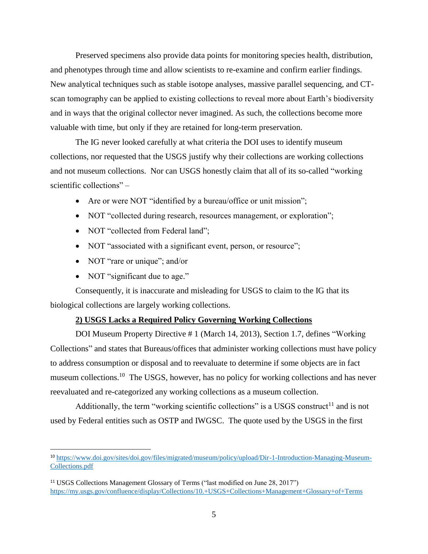Preserved specimens also provide data points for monitoring species health, distribution, and phenotypes through time and allow scientists to re-examine and confirm earlier findings. New analytical techniques such as stable isotope analyses, massive parallel sequencing, and CTscan tomography can be applied to existing collections to reveal more about Earth's biodiversity and in ways that the original collector never imagined. As such, the collections become more valuable with time, but only if they are retained for long-term preservation.

The IG never looked carefully at what criteria the DOI uses to identify museum collections, nor requested that the USGS justify why their collections are working collections and not museum collections. Nor can USGS honestly claim that all of its so-called "working scientific collections" –

- Are or were NOT "identified by a bureau/office or unit mission";
- NOT "collected during research, resources management, or exploration";
- NOT "collected from Federal land";
- NOT "associated with a significant event, person, or resource";
- NOT "rare or unique"; and/or
- NOT "significant due to age."

 $\overline{a}$ 

Consequently, it is inaccurate and misleading for USGS to claim to the IG that its biological collections are largely working collections.

### **2) USGS Lacks a Required Policy Governing Working Collections**

DOI Museum Property Directive # 1 (March 14, 2013), Section 1.7, defines "Working Collections" and states that Bureaus/offices that administer working collections must have policy to address consumption or disposal and to reevaluate to determine if some objects are in fact museum collections.<sup>10</sup> The USGS, however, has no policy for working collections and has never reevaluated and re-categorized any working collections as a museum collection.

Additionally, the term "working scientific collections" is a USGS construct<sup>11</sup> and is not used by Federal entities such as OSTP and IWGSC. The quote used by the USGS in the first

<sup>10</sup> [https://www.doi.gov/sites/doi.gov/files/migrated/museum/policy/upload/Dir-1-Introduction-Managing-Museum-](https://www.doi.gov/sites/doi.gov/files/migrated/museum/policy/upload/Dir-1-Introduction-Managing-Museum-Collections.pdf)[Collections.pdf](https://www.doi.gov/sites/doi.gov/files/migrated/museum/policy/upload/Dir-1-Introduction-Managing-Museum-Collections.pdf)

<sup>11</sup> USGS Collections Management Glossary of Terms ("last modified on June 28, 2017") <https://my.usgs.gov/confluence/display/Collections/10.+USGS+Collections+Management+Glossary+of+Terms>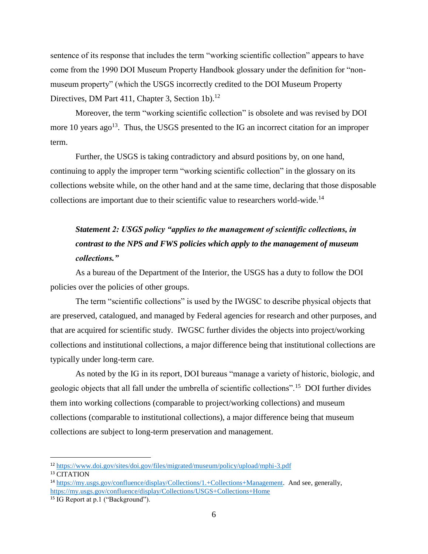sentence of its response that includes the term "working scientific collection" appears to have come from the 1990 DOI Museum Property Handbook glossary under the definition for "nonmuseum property" (which the USGS incorrectly credited to the DOI Museum Property Directives, DM Part 411, Chapter 3, Section 1b).<sup>12</sup>

Moreover, the term "working scientific collection" is obsolete and was revised by DOI more 10 years ago<sup>13</sup>. Thus, the USGS presented to the IG an incorrect citation for an improper term.

Further, the USGS is taking contradictory and absurd positions by, on one hand, continuing to apply the improper term "working scientific collection" in the glossary on its collections website while, on the other hand and at the same time, declaring that those disposable collections are important due to their scientific value to researchers world-wide.<sup>14</sup>

# *Statement 2: USGS policy "applies to the management of scientific collections, in contrast to the NPS and FWS policies which apply to the management of museum collections."*

As a bureau of the Department of the Interior, the USGS has a duty to follow the DOI policies over the policies of other groups.

The term "scientific collections" is used by the IWGSC to describe physical objects that are preserved, catalogued, and managed by Federal agencies for research and other purposes, and that are acquired for scientific study. IWGSC further divides the objects into project/working collections and institutional collections, a major difference being that institutional collections are typically under long-term care.

As noted by the IG in its report, DOI bureaus "manage a variety of historic, biologic, and geologic objects that all fall under the umbrella of scientific collections".<sup>15</sup> DOI further divides them into working collections (comparable to project/working collections) and museum collections (comparable to institutional collections), a major difference being that museum collections are subject to long-term preservation and management.

<sup>12</sup> <https://www.doi.gov/sites/doi.gov/files/migrated/museum/policy/upload/mphi-3.pdf>

<sup>&</sup>lt;sup>13</sup> CITATION

<sup>14</sup> [https://my.usgs.gov/confluence/display/Collections/1.+Collections+Management.](https://my.usgs.gov/confluence/display/Collections/1.+Collections+Management) And see, generally, <https://my.usgs.gov/confluence/display/Collections/USGS+Collections+Home>

<sup>15</sup> IG Report at p.1 ("Background").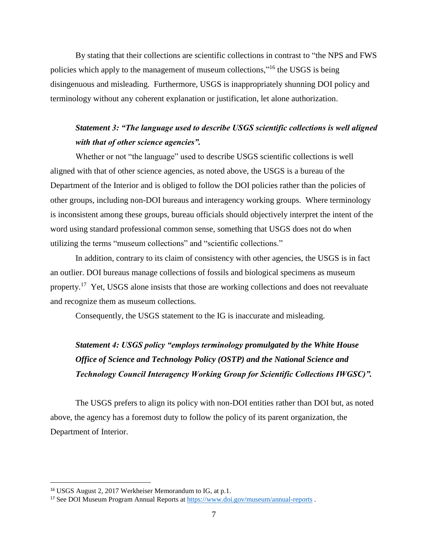By stating that their collections are scientific collections in contrast to "the NPS and FWS policies which apply to the management of museum collections,"<sup>16</sup> the USGS is being disingenuous and misleading. Furthermore, USGS is inappropriately shunning DOI policy and terminology without any coherent explanation or justification, let alone authorization.

## *Statement 3: "The language used to describe USGS scientific collections is well aligned with that of other science agencies".*

Whether or not "the language" used to describe USGS scientific collections is well aligned with that of other science agencies, as noted above, the USGS is a bureau of the Department of the Interior and is obliged to follow the DOI policies rather than the policies of other groups, including non-DOI bureaus and interagency working groups. Where terminology is inconsistent among these groups, bureau officials should objectively interpret the intent of the word using standard professional common sense, something that USGS does not do when utilizing the terms "museum collections" and "scientific collections."

In addition, contrary to its claim of consistency with other agencies, the USGS is in fact an outlier. DOI bureaus manage collections of fossils and biological specimens as museum property.<sup>17</sup> Yet, USGS alone insists that those are working collections and does not reevaluate and recognize them as museum collections.

Consequently, the USGS statement to the IG is inaccurate and misleading.

# *Statement 4: USGS policy "employs terminology promulgated by the White House Office of Science and Technology Policy (OSTP) and the National Science and Technology Council Interagency Working Group for Scientific Collections IWGSC)".*

The USGS prefers to align its policy with non-DOI entities rather than DOI but, as noted above, the agency has a foremost duty to follow the policy of its parent organization, the Department of Interior.

<sup>16</sup> USGS August 2, 2017 Werkheiser Memorandum to IG, at p.1.

<sup>17</sup> See DOI Museum Program Annual Reports at<https://www.doi.gov/museum/annual-reports> .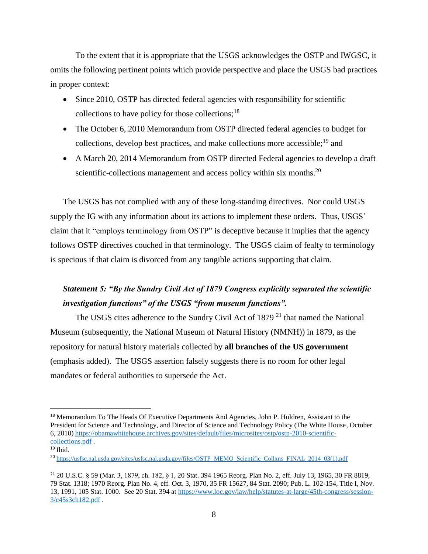To the extent that it is appropriate that the USGS acknowledges the OSTP and IWGSC, it omits the following pertinent points which provide perspective and place the USGS bad practices in proper context:

- Since 2010, OSTP has directed federal agencies with responsibility for scientific collections to have policy for those collections; $^{18}$
- The October 6, 2010 Memorandum from OSTP directed federal agencies to budget for collections, develop best practices, and make collections more accessible;<sup>19</sup> and
- A March 20, 2014 Memorandum from OSTP directed Federal agencies to develop a draft scientific-collections management and access policy within six months.<sup>20</sup>

The USGS has not complied with any of these long-standing directives. Nor could USGS supply the IG with any information about its actions to implement these orders. Thus, USGS' claim that it "employs terminology from OSTP" is deceptive because it implies that the agency follows OSTP directives couched in that terminology. The USGS claim of fealty to terminology is specious if that claim is divorced from any tangible actions supporting that claim.

## *Statement 5: "By the Sundry Civil Act of 1879 Congress explicitly separated the scientific investigation functions" of the USGS "from museum functions".*

The USGS cites adherence to the Sundry Civil Act of 1879<sup>21</sup> that named the National Museum (subsequently, the National Museum of Natural History (NMNH)) in 1879, as the repository for natural history materials collected by **all branches of the US government** (emphasis added). The USGS assertion falsely suggests there is no room for other legal mandates or federal authorities to supersede the Act.

<sup>&</sup>lt;sup>18</sup> Memorandum To The Heads Of Executive Departments And Agencies, John P. Holdren, Assistant to the President for Science and Technology, and Director of Science and Technology Policy (The White House, October 6, 2010) [https://obamawhitehouse.archives.gov/sites/default/files/microsites/ostp/ostp-2010-scientific](https://obamawhitehouse.archives.gov/sites/default/files/microsites/ostp/ostp-2010-scientific-collections.pdf)[collections.pdf](https://obamawhitehouse.archives.gov/sites/default/files/microsites/ostp/ostp-2010-scientific-collections.pdf) .

<sup>19</sup> Ibid.

<sup>20</sup> [https://usfsc.nal.usda.gov/sites/usfsc.nal.usda.gov/files/OSTP\\_MEMO\\_Scientific\\_Collxns\\_FINAL\\_2014\\_03\(1\).pdf](https://usfsc.nal.usda.gov/sites/usfsc.nal.usda.gov/files/OSTP_MEMO_Scientific_Collxns_FINAL_2014_03(1).pdf)

<sup>21</sup> 20 U.S.C. § 59 (Mar. 3, 1879, ch. 182, § 1, 20 Stat. 394 1965 Reorg. Plan No. 2, eff. July 13, 1965, 30 FR 8819, 79 Stat. 1318; 1970 Reorg. Plan No. 4, eff. Oct. 3, 1970, 35 FR 15627, 84 Stat. 2090; Pub. L. 102-154, Title I, Nov. 13, 1991, 105 Stat. 1000. See 20 Stat. 394 at [https://www.loc.gov/law/help/statutes-at-large/45th-congress/session-](https://www.loc.gov/law/help/statutes-at-large/45th-congress/session-3/c45s3ch182.pdf)[3/c45s3ch182.pdf](https://www.loc.gov/law/help/statutes-at-large/45th-congress/session-3/c45s3ch182.pdf).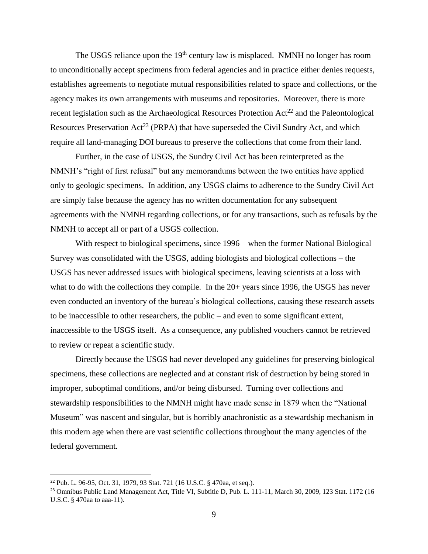The USGS reliance upon the  $19<sup>th</sup>$  century law is misplaced. NMNH no longer has room to unconditionally accept specimens from federal agencies and in practice either denies requests, establishes agreements to negotiate mutual responsibilities related to space and collections, or the agency makes its own arrangements with museums and repositories. Moreover, there is more recent legislation such as the Archaeological Resources Protection  $Act^{22}$  and the Paleontological Resources Preservation  $Act^{23}$  (PRPA) that have superseded the Civil Sundry Act, and which require all land-managing DOI bureaus to preserve the collections that come from their land.

Further, in the case of USGS, the Sundry Civil Act has been reinterpreted as the NMNH's "right of first refusal" but any memorandums between the two entities have applied only to geologic specimens. In addition, any USGS claims to adherence to the Sundry Civil Act are simply false because the agency has no written documentation for any subsequent agreements with the NMNH regarding collections, or for any transactions, such as refusals by the NMNH to accept all or part of a USGS collection.

With respect to biological specimens, since 1996 – when the former National Biological Survey was consolidated with the USGS, adding biologists and biological collections – the USGS has never addressed issues with biological specimens, leaving scientists at a loss with what to do with the collections they compile. In the 20+ years since 1996, the USGS has never even conducted an inventory of the bureau's biological collections, causing these research assets to be inaccessible to other researchers, the public – and even to some significant extent, inaccessible to the USGS itself. As a consequence, any published vouchers cannot be retrieved to review or repeat a scientific study.

Directly because the USGS had never developed any guidelines for preserving biological specimens, these collections are neglected and at constant risk of destruction by being stored in improper, suboptimal conditions, and/or being disbursed. Turning over collections and stewardship responsibilities to the NMNH might have made sense in 1879 when the "National Museum" was nascent and singular, but is horribly anachronistic as a stewardship mechanism in this modern age when there are vast scientific collections throughout the many agencies of the federal government.

<sup>22</sup> Pub. L. 96-95, Oct. 31, 1979, 93 Stat. 721 (16 U.S.C. § 470aa, et seq.).

<sup>&</sup>lt;sup>23</sup> Omnibus Public Land Management Act, Title VI, Subtitle D, Pub. L. 111-11, March 30, 2009, 123 Stat. 1172 (16 U.S.C. § 470aa to aaa-11).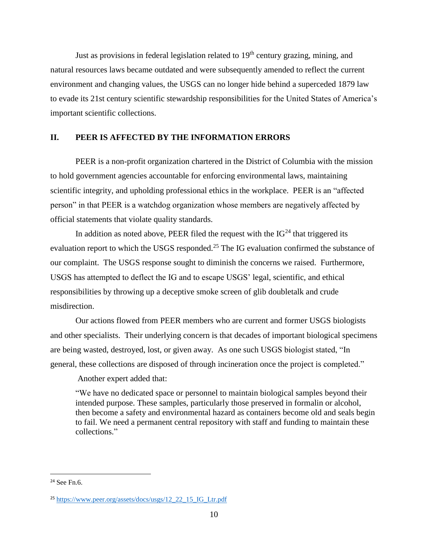Just as provisions in federal legislation related to  $19<sup>th</sup>$  century grazing, mining, and natural resources laws became outdated and were subsequently amended to reflect the current environment and changing values, the USGS can no longer hide behind a superceded 1879 law to evade its 21st century scientific stewardship responsibilities for the United States of America's important scientific collections.

#### **II. PEER IS AFFECTED BY THE INFORMATION ERRORS**

PEER is a non-profit organization chartered in the District of Columbia with the mission to hold government agencies accountable for enforcing environmental laws, maintaining scientific integrity, and upholding professional ethics in the workplace. PEER is an "affected person" in that PEER is a watchdog organization whose members are negatively affected by official statements that violate quality standards.

In addition as noted above, PEER filed the request with the  $IG<sup>24</sup>$  that triggered its evaluation report to which the USGS responded.<sup>25</sup> The IG evaluation confirmed the substance of our complaint. The USGS response sought to diminish the concerns we raised. Furthermore, USGS has attempted to deflect the IG and to escape USGS' legal, scientific, and ethical responsibilities by throwing up a deceptive smoke screen of glib doubletalk and crude misdirection.

Our actions flowed from PEER members who are current and former USGS biologists and other specialists. Their underlying concern is that decades of important biological specimens are being wasted, destroyed, lost, or given away. As one such USGS biologist stated, "In general, these collections are disposed of through incineration once the project is completed."

Another expert added that:

"We have no dedicated space or personnel to maintain biological samples beyond their intended purpose. These samples, particularly those preserved in formalin or alcohol, then become a safety and environmental hazard as containers become old and seals begin to fail. We need a permanent central repository with staff and funding to maintain these collections."

<sup>24</sup> See Fn.6.

<sup>25</sup> [https://www.peer.org/assets/docs/usgs/12\\_22\\_15\\_IG\\_Ltr.pdf](https://www.peer.org/assets/docs/usgs/12_22_15_IG_Ltr.pdf)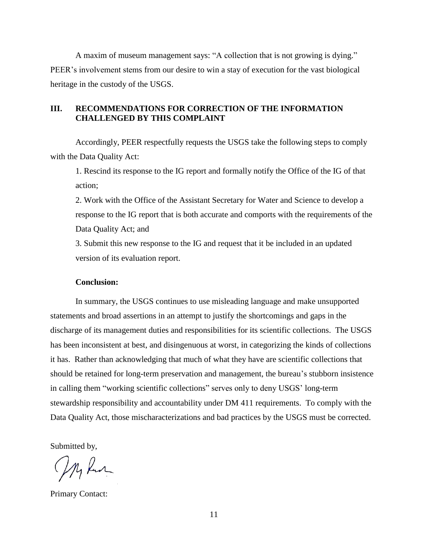A maxim of museum management says: "A collection that is not growing is dying." PEER's involvement stems from our desire to win a stay of execution for the vast biological heritage in the custody of the USGS.

### **III. RECOMMENDATIONS FOR CORRECTION OF THE INFORMATION CHALLENGED BY THIS COMPLAINT**

Accordingly, PEER respectfully requests the USGS take the following steps to comply with the Data Quality Act:

1. Rescind its response to the IG report and formally notify the Office of the IG of that action;

2. Work with the Office of the Assistant Secretary for Water and Science to develop a response to the IG report that is both accurate and comports with the requirements of the Data Quality Act; and

3. Submit this new response to the IG and request that it be included in an updated version of its evaluation report.

#### **Conclusion:**

In summary, the USGS continues to use misleading language and make unsupported statements and broad assertions in an attempt to justify the shortcomings and gaps in the discharge of its management duties and responsibilities for its scientific collections. The USGS has been inconsistent at best, and disingenuous at worst, in categorizing the kinds of collections it has. Rather than acknowledging that much of what they have are scientific collections that should be retained for long-term preservation and management, the bureau's stubborn insistence in calling them "working scientific collections" serves only to deny USGS' long-term stewardship responsibility and accountability under DM 411 requirements. To comply with the Data Quality Act, those mischaracterizations and bad practices by the USGS must be corrected.

Submitted by,

My Run

Primary Contact: